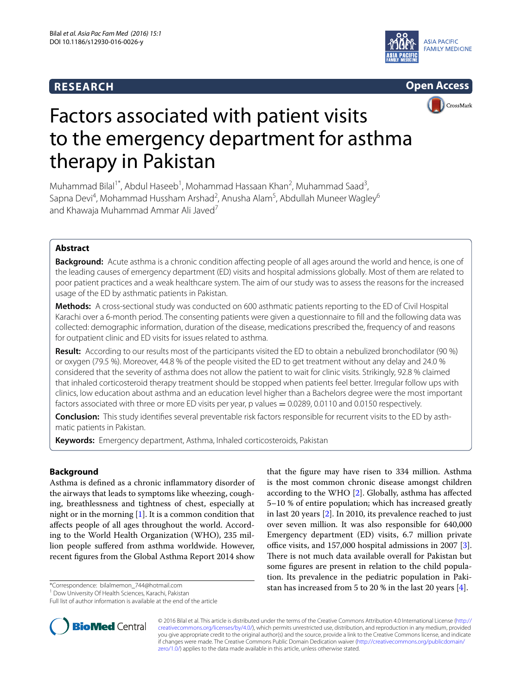# **RESEARCH**





# Factors associated with patient visits to the emergency department for asthma therapy in Pakistan

Muhammad Bilal<sup>1\*</sup>, Abdul Haseeb<sup>1</sup>, Mohammad Hassaan Khan<sup>2</sup>, Muhammad Saad<sup>3</sup>, Sapna Devi<sup>4</sup>, Mohammad Hussham Arshad<sup>2</sup>, Anusha Alam<sup>5</sup>, Abdullah Muneer Wagley<sup>6</sup> and Khawaia Muhammad Ammar Ali Javed<sup>7</sup>

# **Abstract**

**Background:** Acute asthma is a chronic condition affecting people of all ages around the world and hence, is one of the leading causes of emergency department (ED) visits and hospital admissions globally. Most of them are related to poor patient practices and a weak healthcare system. The aim of our study was to assess the reasons for the increased usage of the ED by asthmatic patients in Pakistan.

**Methods:** A cross-sectional study was conducted on 600 asthmatic patients reporting to the ED of Civil Hospital Karachi over a 6-month period. The consenting patients were given a questionnaire to fill and the following data was collected: demographic information, duration of the disease, medications prescribed the, frequency of and reasons for outpatient clinic and ED visits for issues related to asthma.

**Result:** According to our results most of the participants visited the ED to obtain a nebulized bronchodilator (90 %) or oxygen (79.5 %). Moreover, 44.8 % of the people visited the ED to get treatment without any delay and 24.0 % considered that the severity of asthma does not allow the patient to wait for clinic visits. Strikingly, 92.8 % claimed that inhaled corticosteroid therapy treatment should be stopped when patients feel better. Irregular follow ups with clinics, low education about asthma and an education level higher than a Bachelors degree were the most important factors associated with three or more ED visits per year, p values = 0.0289, 0.0110 and 0.0150 respectively.

**Conclusion:** This study identifies several preventable risk factors responsible for recurrent visits to the ED by asthmatic patients in Pakistan.

**Keywords:** Emergency department, Asthma, Inhaled corticosteroids, Pakistan

## **Background**

Asthma is defined as a chronic inflammatory disorder of the airways that leads to symptoms like wheezing, coughing, breathlessness and tightness of chest, especially at night or in the morning  $[1]$  $[1]$ . It is a common condition that affects people of all ages throughout the world. According to the World Health Organization (WHO), 235 million people suffered from asthma worldwide. However, recent figures from the Global Asthma Report 2014 show

\*Correspondence: bilalmemon\_744@hotmail.com



© 2016 Bilal et al. This article is distributed under the terms of the Creative Commons Attribution 4.0 International License [\(http://](http://creativecommons.org/licenses/by/4.0/) [creativecommons.org/licenses/by/4.0/](http://creativecommons.org/licenses/by/4.0/)), which permits unrestricted use, distribution, and reproduction in any medium, provided you give appropriate credit to the original author(s) and the source, provide a link to the Creative Commons license, and indicate if changes were made. The Creative Commons Public Domain Dedication waiver ([http://creativecommons.org/publicdomain/](http://creativecommons.org/publicdomain/zero/1.0/) [zero/1.0/](http://creativecommons.org/publicdomain/zero/1.0/)) applies to the data made available in this article, unless otherwise stated.



<sup>&</sup>lt;sup>1</sup> Dow University Of Health Sciences, Karachi, Pakistan

Full list of author information is available at the end of the article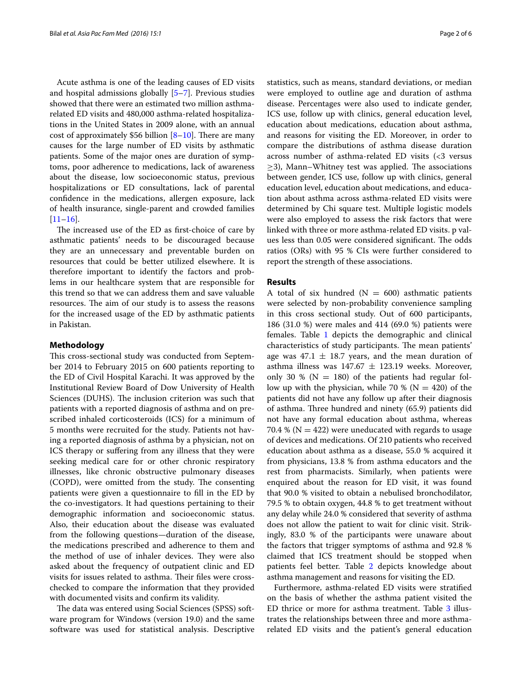Acute asthma is one of the leading causes of ED visits and hospital admissions globally [\[5](#page-5-1)[–7](#page-5-2)]. Previous studies showed that there were an estimated two million asthmarelated ED visits and 480,000 asthma-related hospitalizations in the United States in 2009 alone, with an annual cost of approximately \$56 billion  $[8-10]$  $[8-10]$  $[8-10]$ . There are many causes for the large number of ED visits by asthmatic patients. Some of the major ones are duration of symptoms, poor adherence to medications, lack of awareness about the disease, low socioeconomic status, previous hospitalizations or ED consultations, lack of parental confidence in the medications, allergen exposure, lack of health insurance, single-parent and crowded families  $[11–16]$  $[11–16]$  $[11–16]$  $[11–16]$ .

The increased use of the ED as first-choice of care by asthmatic patients' needs to be discouraged because they are an unnecessary and preventable burden on resources that could be better utilized elsewhere. It is therefore important to identify the factors and problems in our healthcare system that are responsible for this trend so that we can address them and save valuable resources. The aim of our study is to assess the reasons for the increased usage of the ED by asthmatic patients in Pakistan.

### **Methodology**

This cross-sectional study was conducted from September 2014 to February 2015 on 600 patients reporting to the ED of Civil Hospital Karachi. It was approved by the Institutional Review Board of Dow University of Health Sciences (DUHS). The inclusion criterion was such that patients with a reported diagnosis of asthma and on prescribed inhaled corticosteroids (ICS) for a minimum of 5 months were recruited for the study. Patients not having a reported diagnosis of asthma by a physician, not on ICS therapy or suffering from any illness that they were seeking medical care for or other chronic respiratory illnesses, like chronic obstructive pulmonary diseases (COPD), were omitted from the study. The consenting patients were given a questionnaire to fill in the ED by the co-investigators. It had questions pertaining to their demographic information and socioeconomic status. Also, their education about the disease was evaluated from the following questions—duration of the disease, the medications prescribed and adherence to them and the method of use of inhaler devices. They were also asked about the frequency of outpatient clinic and ED visits for issues related to asthma. Their files were crosschecked to compare the information that they provided with documented visits and confirm its validity.

The data was entered using Social Sciences (SPSS) software program for Windows (version 19.0) and the same software was used for statistical analysis. Descriptive

statistics, such as means, standard deviations, or median were employed to outline age and duration of asthma disease. Percentages were also used to indicate gender, ICS use, follow up with clinics, general education level, education about medications, education about asthma, and reasons for visiting the ED. Moreover, in order to compare the distributions of asthma disease duration across number of asthma-related ED visits (<3 versus  $\geq$ 3), Mann–Whitney test was applied. The associations between gender, ICS use, follow up with clinics, general education level, education about medications, and education about asthma across asthma-related ED visits were determined by Chi square test. Multiple logistic models were also employed to assess the risk factors that were linked with three or more asthma-related ED visits. p values less than 0.05 were considered significant. The odds ratios (ORs) with 95 % CIs were further considered to report the strength of these associations.

## **Results**

A total of six hundred ( $N = 600$ ) asthmatic patients were selected by non-probability convenience sampling in this cross sectional study. Out of 600 participants, 186 (31.0 %) were males and 414 (69.0 %) patients were females. Table [1](#page-2-0) depicts the demographic and clinical characteristics of study participants. The mean patients' age was  $47.1 \pm 18.7$  years, and the mean duration of asthma illness was  $147.67 \pm 123.19$  weeks. Moreover, only 30 % ( $N = 180$ ) of the patients had regular follow up with the physician, while 70 % ( $N = 420$ ) of the patients did not have any follow up after their diagnosis of asthma. Three hundred and ninety (65.9) patients did not have any formal education about asthma, whereas 70.4 % ( $N = 422$ ) were uneducated with regards to usage of devices and medications. Of 210 patients who received education about asthma as a disease, 55.0 % acquired it from physicians, 13.8 % from asthma educators and the rest from pharmacists. Similarly, when patients were enquired about the reason for ED visit, it was found that 90.0 % visited to obtain a nebulised bronchodilator, 79.5 % to obtain oxygen, 44.8 % to get treatment without any delay while 24.0 % considered that severity of asthma does not allow the patient to wait for clinic visit. Strikingly, 83.0 % of the participants were unaware about the factors that trigger symptoms of asthma and 92.8 % claimed that ICS treatment should be stopped when patients feel better. Table [2](#page-2-1) depicts knowledge about asthma management and reasons for visiting the ED.

Furthermore, asthma-related ED visits were stratified on the basis of whether the asthma patient visited the ED thrice or more for asthma treatment. Table [3](#page-3-0) illustrates the relationships between three and more asthmarelated ED visits and the patient's general education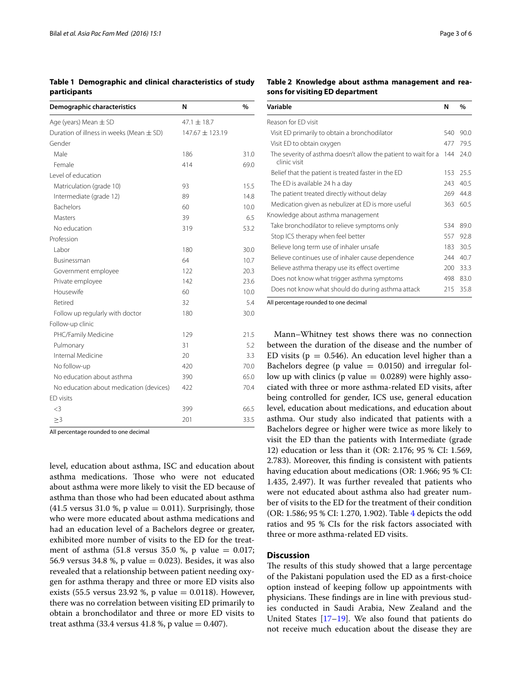<span id="page-2-0"></span>**Table 1 Demographic and clinical characteristics of study participants**

| Demographic characteristics                  | N                   | %    |
|----------------------------------------------|---------------------|------|
| Age (years) Mean $\pm$ SD                    | $47.1 \pm 18.7$     |      |
| Duration of illness in weeks (Mean $\pm$ SD) | $147.67 \pm 123.19$ |      |
| Gender                                       |                     |      |
| Male                                         | 186                 | 31.0 |
| Female                                       | 414                 | 69.0 |
| Level of education                           |                     |      |
| Matriculation (grade 10)                     | 93                  | 15.5 |
| Intermediate (grade 12)                      | 89                  | 14.8 |
| <b>Bachelors</b>                             | 60                  | 10.0 |
| Masters                                      | 39                  | 6.5  |
| No education                                 | 319                 | 53.2 |
| Profession                                   |                     |      |
| Labor                                        | 180                 | 30.0 |
| Businessman                                  | 64                  | 10.7 |
| Government employee                          | 122                 | 20.3 |
| Private employee                             | 142                 | 23.6 |
| Housewife                                    | 60                  | 10.0 |
| Retired                                      | 32                  | 5.4  |
| Follow up regularly with doctor              | 180                 | 30.0 |
| Follow-up clinic                             |                     |      |
| PHC/Family Medicine                          | 129                 | 21.5 |
| Pulmonary                                    | 31                  | 5.2  |
| Internal Medicine                            | 20                  | 3.3  |
| No follow-up                                 | 420                 | 70.0 |
| No education about asthma                    | 390                 | 65.0 |
| No education about medication (devices)      | 422                 | 70.4 |
| ED visits                                    |                     |      |
| <3                                           | 399                 | 66.5 |
| $\geq$ 3                                     | 201                 | 33.5 |

All percentage rounded to one decimal

level, education about asthma, ISC and education about asthma medications. Those who were not educated about asthma were more likely to visit the ED because of asthma than those who had been educated about asthma (41.5 versus 31.0 %, p value  $= 0.011$ ). Surprisingly, those who were more educated about asthma medications and had an education level of a Bachelors degree or greater, exhibited more number of visits to the ED for the treatment of asthma (51.8 versus 35.0 %, p value  $= 0.017$ ; 56.9 versus 34.8 %, p value  $= 0.023$ ). Besides, it was also revealed that a relationship between patient needing oxygen for asthma therapy and three or more ED visits also exists (55.5 versus 23.92 %, p value = 0.0118). However, there was no correlation between visiting ED primarily to obtain a bronchodilator and three or more ED visits to treat asthma  $(33.4 \text{ versus } 41.8 \text{ %}, p \text{ value} = 0.407)$ .

<span id="page-2-1"></span>**Table 2 Knowledge about asthma management and reasons for visiting ED department**

| Variable                                                                       | N   | %    |
|--------------------------------------------------------------------------------|-----|------|
| Reason for ED visit                                                            |     |      |
| Visit ED primarily to obtain a bronchodilator                                  | 540 | 90.0 |
| Visit ED to obtain oxygen                                                      | 477 | 79.5 |
| The severity of asthma doesn't allow the patient to wait for a<br>clinic visit | 144 | 24.0 |
| Belief that the patient is treated faster in the ED                            | 153 | 25.5 |
| The ED is available 24 h a day                                                 | 243 | 40.5 |
| The patient treated directly without delay                                     | 269 | 44.8 |
| Medication given as nebulizer at ED is more useful                             | 363 | 60.5 |
| Knowledge about asthma management                                              |     |      |
| Take bronchodilator to relieve symptoms only                                   | 534 | 89.0 |
| Stop ICS therapy when feel better                                              | 557 | 92.8 |
| Believe long term use of inhaler unsafe                                        | 183 | 30.5 |
| Believe continues use of inhaler cause dependence                              | 244 | 40.7 |
| Believe asthma therapy use its effect overtime                                 | 200 | 33.3 |
| Does not know what trigger asthma symptoms                                     | 498 | 83.0 |
| Does not know what should do during asthma attack                              | 215 | 35.8 |

All percentage rounded to one decimal

Mann–Whitney test shows there was no connection between the duration of the disease and the number of ED visits ( $p = 0.546$ ). An education level higher than a Bachelors degree (p value  $= 0.0150$ ) and irregular follow up with clinics (p value  $= 0.0289$ ) were highly associated with three or more asthma-related ED visits, after being controlled for gender, ICS use, general education level, education about medications, and education about asthma. Our study also indicated that patients with a Bachelors degree or higher were twice as more likely to visit the ED than the patients with Intermediate (grade 12) education or less than it (OR: 2.176; 95 % CI: 1.569, 2.783). Moreover, this finding is consistent with patients having education about medications (OR: 1.966; 95 % CI: 1.435, 2.497). It was further revealed that patients who were not educated about asthma also had greater number of visits to the ED for the treatment of their condition (OR: 1.586; 95 % CI: 1.270, 1.902). Table [4](#page-3-1) depicts the odd ratios and 95 % CIs for the risk factors associated with three or more asthma-related ED visits.

## **Discussion**

The results of this study showed that a large percentage of the Pakistani population used the ED as a first-choice option instead of keeping follow up appointments with physicians. These findings are in line with previous studies conducted in Saudi Arabia, New Zealand and the United States [[17–](#page-5-7)[19](#page-5-8)]. We also found that patients do not receive much education about the disease they are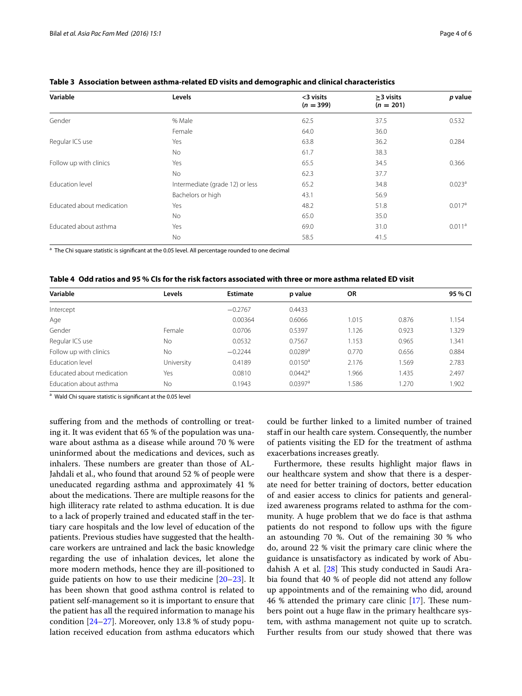| Variable                  | Levels                          | <3 visits<br>$(n = 399)$ | $>3$ visits<br>$(n = 201)$ | p value            |
|---------------------------|---------------------------------|--------------------------|----------------------------|--------------------|
| Gender                    | % Male                          | 62.5                     | 37.5                       | 0.532              |
|                           | Female                          | 64.0                     | 36.0                       |                    |
| Regular ICS use           | Yes                             | 63.8                     | 36.2                       | 0.284              |
|                           | <b>No</b>                       | 61.7                     | 38.3                       |                    |
| Follow up with clinics    | Yes                             | 65.5                     | 34.5                       | 0.366              |
|                           | No                              | 62.3                     | 37.7                       |                    |
| Education level           | Intermediate (grade 12) or less | 65.2                     | 34.8                       | 0.023 <sup>a</sup> |
|                           | Bachelors or high               | 43.1                     | 56.9                       |                    |
| Educated about medication | Yes                             | 48.2                     | 51.8                       | 0.017 <sup>a</sup> |
|                           | <b>No</b>                       | 65.0                     | 35.0                       |                    |
| Educated about asthma     | Yes                             | 69.0                     | 31.0                       | 0.011 <sup>a</sup> |
|                           | No                              | 58.5                     | 41.5                       |                    |

### <span id="page-3-0"></span>**Table 3 Association between asthma-related ED visits and demographic and clinical characteristics**

<sup>a</sup> The Chi square statistic is significant at the 0.05 level. All percentage rounded to one decimal

<span id="page-3-1"></span>

| Variable                  | Levels     | <b>Estimate</b> | p value               | <b>OR</b> |       | 95 % CI |
|---------------------------|------------|-----------------|-----------------------|-----------|-------|---------|
| Intercept                 |            | $-0.2767$       | 0.4433                |           |       |         |
| Age                       |            | 0.00364         | 0.6066                | 1.015     | 0.876 | 1.154   |
| Gender                    | Female     | 0.0706          | 0.5397                | 1.126     | 0.923 | 1.329   |
| Regular ICS use           | No         | 0.0532          | 0.7567                | 1.153     | 0.965 | 1.341   |
| Follow up with clinics    | No         | $-0.2244$       | $0.0289$ <sup>a</sup> | 0.770     | 0.656 | 0.884   |
| <b>Fducation level</b>    | University | 0.4189          | $0.0150^{\circ}$      | 2.176     | 1.569 | 2.783   |
| Educated about medication | Yes        | 0.0810          | $0.0442$ <sup>a</sup> | 1.966     | 1.435 | 2.497   |
| Education about asthma    | No         | 0.1943          | $0.0397$ <sup>a</sup> | 1.586     | 1.270 | 1.902   |

a Wald Chi square statistic is significant at the 0.05 level

suffering from and the methods of controlling or treating it. It was evident that 65 % of the population was unaware about asthma as a disease while around 70 % were uninformed about the medications and devices, such as inhalers. These numbers are greater than those of AL-Jahdali et al., who found that around 52 % of people were uneducated regarding asthma and approximately 41 % about the medications. There are multiple reasons for the high illiteracy rate related to asthma education. It is due to a lack of properly trained and educated staff in the tertiary care hospitals and the low level of education of the patients. Previous studies have suggested that the healthcare workers are untrained and lack the basic knowledge regarding the use of inhalation devices, let alone the more modern methods, hence they are ill-positioned to guide patients on how to use their medicine [[20–](#page-5-9)[23](#page-5-10)]. It has been shown that good asthma control is related to patient self-management so it is important to ensure that the patient has all the required information to manage his condition [[24–](#page-5-11)[27\]](#page-5-12). Moreover, only 13.8 % of study population received education from asthma educators which

could be further linked to a limited number of trained staff in our health care system. Consequently, the number of patients visiting the ED for the treatment of asthma exacerbations increases greatly.

Furthermore, these results highlight major flaws in our healthcare system and show that there is a desperate need for better training of doctors, better education of and easier access to clinics for patients and generalized awareness programs related to asthma for the community. A huge problem that we do face is that asthma patients do not respond to follow ups with the figure an astounding 70 %. Out of the remaining 30 % who do, around 22 % visit the primary care clinic where the guidance is unsatisfactory as indicated by work of Abudahish A et al. [[28\]](#page-5-13) This study conducted in Saudi Arabia found that 40 % of people did not attend any follow up appointments and of the remaining who did, around 46 % attended the primary care clinic [\[17\]](#page-5-7). These numbers point out a huge flaw in the primary healthcare system, with asthma management not quite up to scratch. Further results from our study showed that there was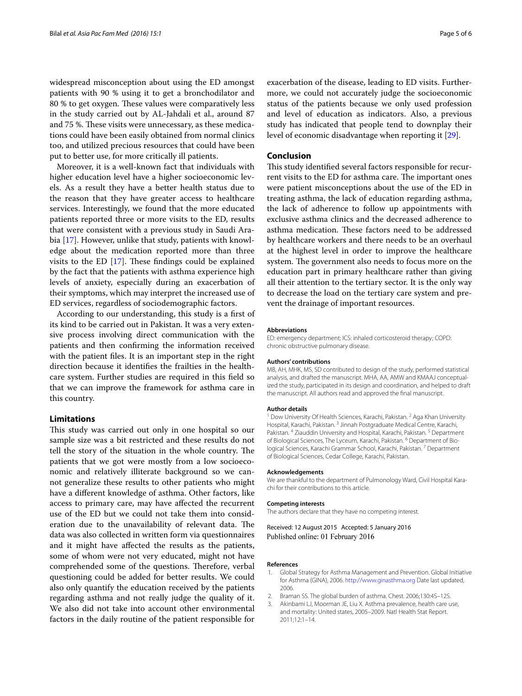widespread misconception about using the ED amongst patients with 90 % using it to get a bronchodilator and 80 % to get oxygen. These values were comparatively less in the study carried out by AL-Jahdali et al., around 87 and 75 %. These visits were unnecessary, as these medications could have been easily obtained from normal clinics too, and utilized precious resources that could have been put to better use, for more critically ill patients.

Moreover, it is a well-known fact that individuals with higher education level have a higher socioeconomic levels. As a result they have a better health status due to the reason that they have greater access to healthcare services. Interestingly, we found that the more educated patients reported three or more visits to the ED, results that were consistent with a previous study in Saudi Arabia [[17](#page-5-7)]. However, unlike that study, patients with knowledge about the medication reported more than three visits to the ED [\[17](#page-5-7)]. These findings could be explained by the fact that the patients with asthma experience high levels of anxiety, especially during an exacerbation of their symptoms, which may interpret the increased use of ED services, regardless of sociodemographic factors.

According to our understanding, this study is a first of its kind to be carried out in Pakistan. It was a very extensive process involving direct communication with the patients and then confirming the information received with the patient files. It is an important step in the right direction because it identifies the frailties in the healthcare system. Further studies are required in this field so that we can improve the framework for asthma care in this country.

## **Limitations**

This study was carried out only in one hospital so our sample size was a bit restricted and these results do not tell the story of the situation in the whole country. The patients that we got were mostly from a low socioeconomic and relatively illiterate background so we cannot generalize these results to other patients who might have a different knowledge of asthma. Other factors, like access to primary care, may have affected the recurrent use of the ED but we could not take them into consideration due to the unavailability of relevant data. The data was also collected in written form via questionnaires and it might have affected the results as the patients, some of whom were not very educated, might not have comprehended some of the questions. Therefore, verbal questioning could be added for better results. We could also only quantify the education received by the patients regarding asthma and not really judge the quality of it. We also did not take into account other environmental factors in the daily routine of the patient responsible for

exacerbation of the disease, leading to ED visits. Furthermore, we could not accurately judge the socioeconomic status of the patients because we only used profession and level of education as indicators. Also, a previous study has indicated that people tend to downplay their level of economic disadvantage when reporting it [\[29](#page-5-14)].

## **Conclusion**

This study identified several factors responsible for recurrent visits to the ED for asthma care. The important ones were patient misconceptions about the use of the ED in treating asthma, the lack of education regarding asthma, the lack of adherence to follow up appointments with exclusive asthma clinics and the decreased adherence to asthma medication. These factors need to be addressed by healthcare workers and there needs to be an overhaul at the highest level in order to improve the healthcare system. The government also needs to focus more on the education part in primary healthcare rather than giving all their attention to the tertiary sector. It is the only way to decrease the load on the tertiary care system and prevent the drainage of important resources.

#### **Abbreviations**

ED: emergency department; ICS: inhaled corticosteroid therapy; COPD: chronic obstructive pulmonary disease.

#### **Authors' contributions**

MB, AH, MHK, MS, SD contributed to design of the study, performed statistical analysis, and drafted the manuscript. MHA, AA, AMW and KMAAJ conceptualized the study, participated in its design and coordination, and helped to draft the manuscript. All authors read and approved the final manuscript.

#### **Author details**

<sup>1</sup> Dow University Of Health Sciences, Karachi, Pakistan. <sup>2</sup> Aga Khan University Hospital, Karachi, Pakistan. <sup>3</sup> Jinnah Postgraduate Medical Centre, Karachi, Pakistan. <sup>4</sup> Ziauddin University and Hospital, Karachi, Pakistan. <sup>5</sup> Department of Biological Sciences, The Lyceum, Karachi, Pakistan. <sup>6</sup> Department of Biological Sciences, Karachi Grammar School, Karachi, Pakistan. 7 Department of Biological Sciences, Cedar College, Karachi, Pakistan.

#### **Acknowledgements**

We are thankful to the department of Pulmonology Ward, Civil Hospital Karachi for their contributions to this article.

#### **Competing interests**

The authors declare that they have no competing interest.

Received: 12 August 2015 Accepted: 5 January 2016 Published online: 01 February 2016

#### **References**

- <span id="page-4-0"></span>1. Global Strategy for Asthma Management and Prevention. Global Initiative for Asthma (GINA), 2006. <http://www.ginasthma.org>Date last updated, 2006.
- <span id="page-4-1"></span>2. Braman SS. The global burden of asthma. Chest. 2006;130:4S–12S.
- <span id="page-4-2"></span>3. Akinbami LJ, Moorman JE, Liu X. Asthma prevalence, health care use, and mortality: United states, 2005–2009. Natl Health Stat Report. 2011;12:1–14.